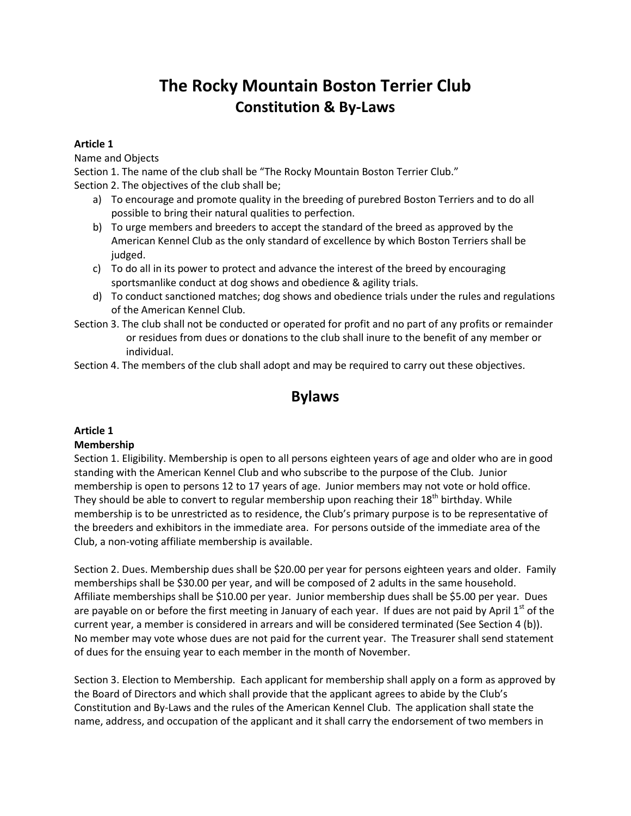# **The Rocky Mountain Boston Terrier Club Constitution & By-Laws**

# **Article 1**

Name and Objects

Section 1. The name of the club shall be "The Rocky Mountain Boston Terrier Club." Section 2. The objectives of the club shall be;

- a) To encourage and promote quality in the breeding of purebred Boston Terriers and to do all possible to bring their natural qualities to perfection.
- b) To urge members and breeders to accept the standard of the breed as approved by the American Kennel Club as the only standard of excellence by which Boston Terriers shall be judged.
- c) To do all in its power to protect and advance the interest of the breed by encouraging sportsmanlike conduct at dog shows and obedience & agility trials.
- d) To conduct sanctioned matches; dog shows and obedience trials under the rules and regulations of the American Kennel Club.
- Section 3. The club shall not be conducted or operated for profit and no part of any profits or remainder or residues from dues or donations to the club shall inure to the benefit of any member or individual.

Section 4. The members of the club shall adopt and may be required to carry out these objectives.

# **Bylaws**

# **Article 1**

# **Membership**

Section 1. Eligibility. Membership is open to all persons eighteen years of age and older who are in good standing with the American Kennel Club and who subscribe to the purpose of the Club. Junior membership is open to persons 12 to 17 years of age. Junior members may not vote or hold office. They should be able to convert to regular membership upon reaching their  $18^{th}$  birthday. While membership is to be unrestricted as to residence, the Club's primary purpose is to be representative of the breeders and exhibitors in the immediate area. For persons outside of the immediate area of the Club, a non-voting affiliate membership is available.

Section 2. Dues. Membership dues shall be \$20.00 per year for persons eighteen years and older. Family memberships shall be \$30.00 per year, and will be composed of 2 adults in the same household. Affiliate memberships shall be \$10.00 per year. Junior membership dues shall be \$5.00 per year. Dues are payable on or before the first meeting in January of each year. If dues are not paid by April 1<sup>st</sup> of the current year, a member is considered in arrears and will be considered terminated (See Section 4 (b)). No member may vote whose dues are not paid for the current year. The Treasurer shall send statement of dues for the ensuing year to each member in the month of November.

Section 3. Election to Membership. Each applicant for membership shall apply on a form as approved by the Board of Directors and which shall provide that the applicant agrees to abide by the Club's Constitution and By-Laws and the rules of the American Kennel Club. The application shall state the name, address, and occupation of the applicant and it shall carry the endorsement of two members in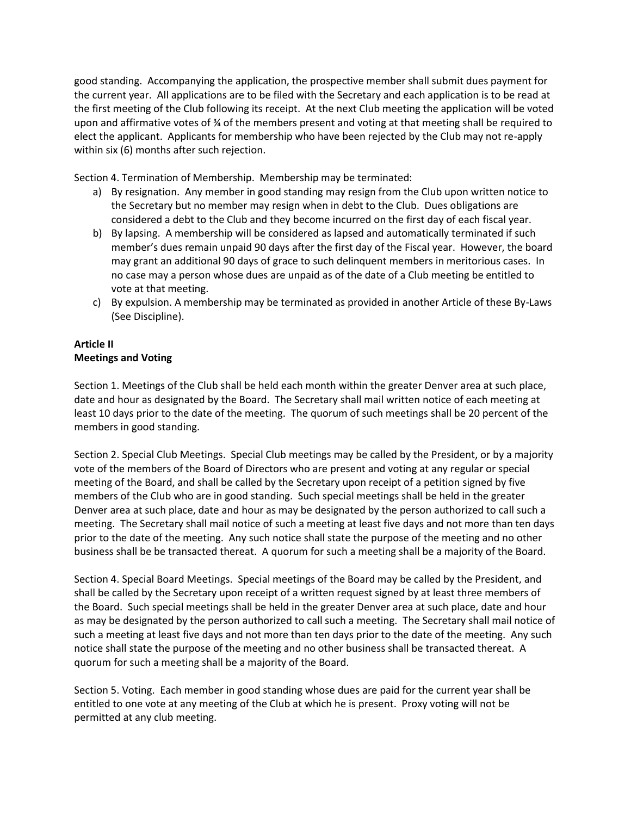good standing. Accompanying the application, the prospective member shall submit dues payment for the current year. All applications are to be filed with the Secretary and each application is to be read at the first meeting of the Club following its receipt. At the next Club meeting the application will be voted upon and affirmative votes of ¾ of the members present and voting at that meeting shall be required to elect the applicant. Applicants for membership who have been rejected by the Club may not re-apply within six (6) months after such rejection.

Section 4. Termination of Membership. Membership may be terminated:

- a) By resignation. Any member in good standing may resign from the Club upon written notice to the Secretary but no member may resign when in debt to the Club. Dues obligations are considered a debt to the Club and they become incurred on the first day of each fiscal year.
- b) By lapsing. A membership will be considered as lapsed and automatically terminated if such member's dues remain unpaid 90 days after the first day of the Fiscal year. However, the board may grant an additional 90 days of grace to such delinquent members in meritorious cases. In no case may a person whose dues are unpaid as of the date of a Club meeting be entitled to vote at that meeting.
- c) By expulsion. A membership may be terminated as provided in another Article of these By-Laws (See Discipline).

# **Article II Meetings and Voting**

Section 1. Meetings of the Club shall be held each month within the greater Denver area at such place, date and hour as designated by the Board. The Secretary shall mail written notice of each meeting at least 10 days prior to the date of the meeting. The quorum of such meetings shall be 20 percent of the members in good standing.

Section 2. Special Club Meetings. Special Club meetings may be called by the President, or by a majority vote of the members of the Board of Directors who are present and voting at any regular or special meeting of the Board, and shall be called by the Secretary upon receipt of a petition signed by five members of the Club who are in good standing. Such special meetings shall be held in the greater Denver area at such place, date and hour as may be designated by the person authorized to call such a meeting. The Secretary shall mail notice of such a meeting at least five days and not more than ten days prior to the date of the meeting. Any such notice shall state the purpose of the meeting and no other business shall be be transacted thereat. A quorum for such a meeting shall be a majority of the Board.

Section 4. Special Board Meetings. Special meetings of the Board may be called by the President, and shall be called by the Secretary upon receipt of a written request signed by at least three members of the Board. Such special meetings shall be held in the greater Denver area at such place, date and hour as may be designated by the person authorized to call such a meeting. The Secretary shall mail notice of such a meeting at least five days and not more than ten days prior to the date of the meeting. Any such notice shall state the purpose of the meeting and no other business shall be transacted thereat. A quorum for such a meeting shall be a majority of the Board.

Section 5. Voting. Each member in good standing whose dues are paid for the current year shall be entitled to one vote at any meeting of the Club at which he is present. Proxy voting will not be permitted at any club meeting.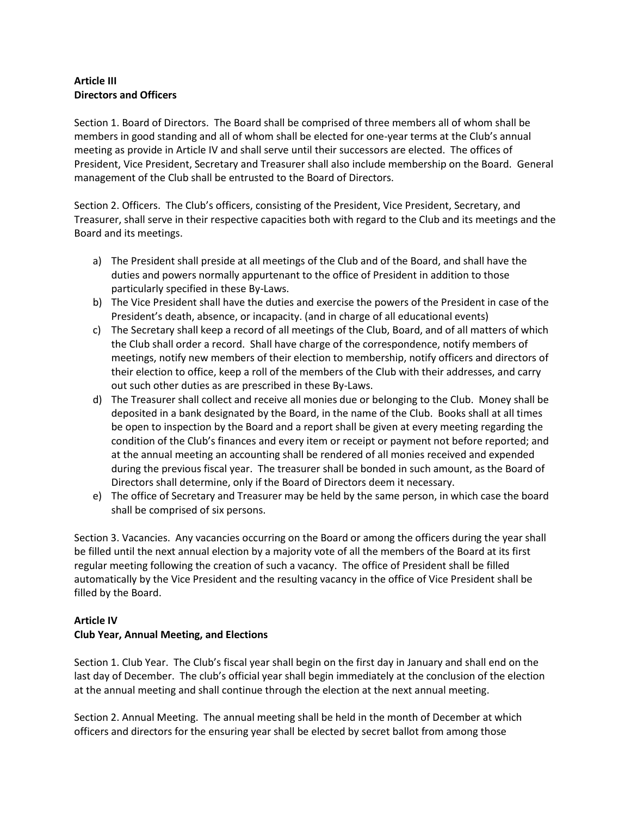# **Article III Directors and Officers**

Section 1. Board of Directors. The Board shall be comprised of three members all of whom shall be members in good standing and all of whom shall be elected for one-year terms at the Club's annual meeting as provide in Article IV and shall serve until their successors are elected. The offices of President, Vice President, Secretary and Treasurer shall also include membership on the Board. General management of the Club shall be entrusted to the Board of Directors.

Section 2. Officers. The Club's officers, consisting of the President, Vice President, Secretary, and Treasurer, shall serve in their respective capacities both with regard to the Club and its meetings and the Board and its meetings.

- a) The President shall preside at all meetings of the Club and of the Board, and shall have the duties and powers normally appurtenant to the office of President in addition to those particularly specified in these By-Laws.
- b) The Vice President shall have the duties and exercise the powers of the President in case of the President's death, absence, or incapacity. (and in charge of all educational events)
- c) The Secretary shall keep a record of all meetings of the Club, Board, and of all matters of which the Club shall order a record. Shall have charge of the correspondence, notify members of meetings, notify new members of their election to membership, notify officers and directors of their election to office, keep a roll of the members of the Club with their addresses, and carry out such other duties as are prescribed in these By-Laws.
- d) The Treasurer shall collect and receive all monies due or belonging to the Club. Money shall be deposited in a bank designated by the Board, in the name of the Club. Books shall at all times be open to inspection by the Board and a report shall be given at every meeting regarding the condition of the Club's finances and every item or receipt or payment not before reported; and at the annual meeting an accounting shall be rendered of all monies received and expended during the previous fiscal year. The treasurer shall be bonded in such amount, as the Board of Directors shall determine, only if the Board of Directors deem it necessary.
- e) The office of Secretary and Treasurer may be held by the same person, in which case the board shall be comprised of six persons.

Section 3. Vacancies. Any vacancies occurring on the Board or among the officers during the year shall be filled until the next annual election by a majority vote of all the members of the Board at its first regular meeting following the creation of such a vacancy. The office of President shall be filled automatically by the Vice President and the resulting vacancy in the office of Vice President shall be filled by the Board.

#### **Article IV**

# **Club Year, Annual Meeting, and Elections**

Section 1. Club Year. The Club's fiscal year shall begin on the first day in January and shall end on the last day of December. The club's official year shall begin immediately at the conclusion of the election at the annual meeting and shall continue through the election at the next annual meeting.

Section 2. Annual Meeting. The annual meeting shall be held in the month of December at which officers and directors for the ensuring year shall be elected by secret ballot from among those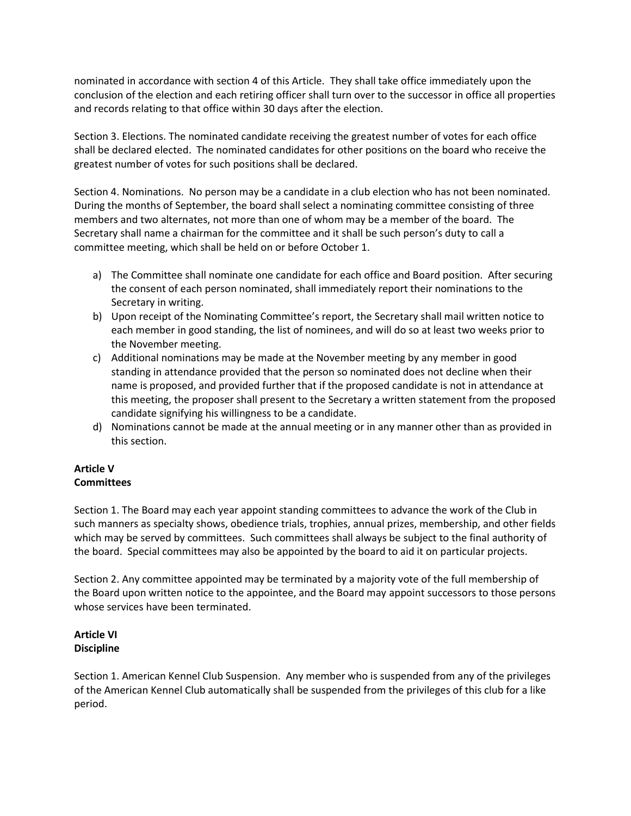nominated in accordance with section 4 of this Article. They shall take office immediately upon the conclusion of the election and each retiring officer shall turn over to the successor in office all properties and records relating to that office within 30 days after the election.

Section 3. Elections. The nominated candidate receiving the greatest number of votes for each office shall be declared elected. The nominated candidates for other positions on the board who receive the greatest number of votes for such positions shall be declared.

Section 4. Nominations. No person may be a candidate in a club election who has not been nominated. During the months of September, the board shall select a nominating committee consisting of three members and two alternates, not more than one of whom may be a member of the board. The Secretary shall name a chairman for the committee and it shall be such person's duty to call a committee meeting, which shall be held on or before October 1.

- a) The Committee shall nominate one candidate for each office and Board position. After securing the consent of each person nominated, shall immediately report their nominations to the Secretary in writing.
- b) Upon receipt of the Nominating Committee's report, the Secretary shall mail written notice to each member in good standing, the list of nominees, and will do so at least two weeks prior to the November meeting.
- c) Additional nominations may be made at the November meeting by any member in good standing in attendance provided that the person so nominated does not decline when their name is proposed, and provided further that if the proposed candidate is not in attendance at this meeting, the proposer shall present to the Secretary a written statement from the proposed candidate signifying his willingness to be a candidate.
- d) Nominations cannot be made at the annual meeting or in any manner other than as provided in this section.

#### **Article V Committees**

Section 1. The Board may each year appoint standing committees to advance the work of the Club in such manners as specialty shows, obedience trials, trophies, annual prizes, membership, and other fields which may be served by committees. Such committees shall always be subject to the final authority of the board. Special committees may also be appointed by the board to aid it on particular projects.

Section 2. Any committee appointed may be terminated by a majority vote of the full membership of the Board upon written notice to the appointee, and the Board may appoint successors to those persons whose services have been terminated.

# **Article VI Discipline**

Section 1. American Kennel Club Suspension. Any member who is suspended from any of the privileges of the American Kennel Club automatically shall be suspended from the privileges of this club for a like period.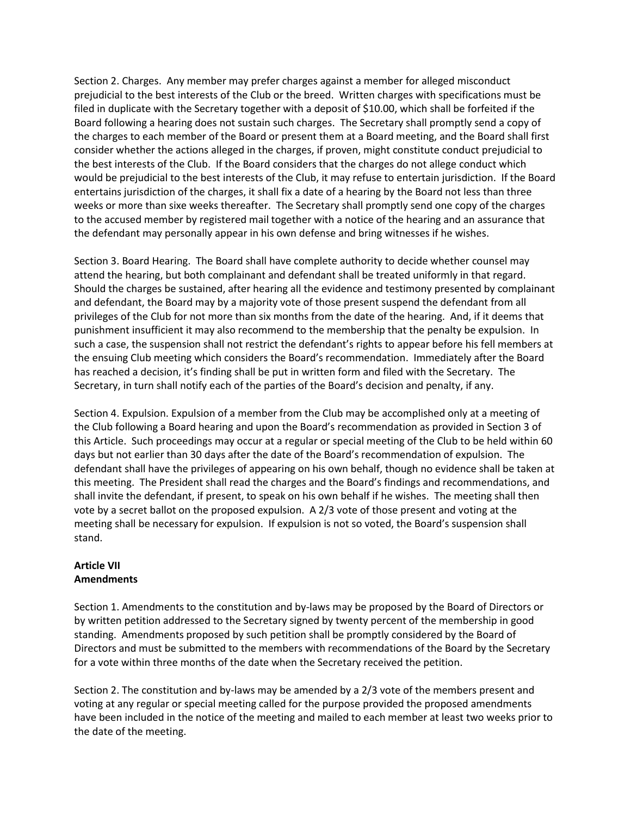Section 2. Charges. Any member may prefer charges against a member for alleged misconduct prejudicial to the best interests of the Club or the breed. Written charges with specifications must be filed in duplicate with the Secretary together with a deposit of \$10.00, which shall be forfeited if the Board following a hearing does not sustain such charges. The Secretary shall promptly send a copy of the charges to each member of the Board or present them at a Board meeting, and the Board shall first consider whether the actions alleged in the charges, if proven, might constitute conduct prejudicial to the best interests of the Club. If the Board considers that the charges do not allege conduct which would be prejudicial to the best interests of the Club, it may refuse to entertain jurisdiction. If the Board entertains jurisdiction of the charges, it shall fix a date of a hearing by the Board not less than three weeks or more than sixe weeks thereafter. The Secretary shall promptly send one copy of the charges to the accused member by registered mail together with a notice of the hearing and an assurance that the defendant may personally appear in his own defense and bring witnesses if he wishes.

Section 3. Board Hearing. The Board shall have complete authority to decide whether counsel may attend the hearing, but both complainant and defendant shall be treated uniformly in that regard. Should the charges be sustained, after hearing all the evidence and testimony presented by complainant and defendant, the Board may by a majority vote of those present suspend the defendant from all privileges of the Club for not more than six months from the date of the hearing. And, if it deems that punishment insufficient it may also recommend to the membership that the penalty be expulsion. In such a case, the suspension shall not restrict the defendant's rights to appear before his fell members at the ensuing Club meeting which considers the Board's recommendation. Immediately after the Board has reached a decision, it's finding shall be put in written form and filed with the Secretary. The Secretary, in turn shall notify each of the parties of the Board's decision and penalty, if any.

Section 4. Expulsion. Expulsion of a member from the Club may be accomplished only at a meeting of the Club following a Board hearing and upon the Board's recommendation as provided in Section 3 of this Article. Such proceedings may occur at a regular or special meeting of the Club to be held within 60 days but not earlier than 30 days after the date of the Board's recommendation of expulsion. The defendant shall have the privileges of appearing on his own behalf, though no evidence shall be taken at this meeting. The President shall read the charges and the Board's findings and recommendations, and shall invite the defendant, if present, to speak on his own behalf if he wishes. The meeting shall then vote by a secret ballot on the proposed expulsion. A 2/3 vote of those present and voting at the meeting shall be necessary for expulsion. If expulsion is not so voted, the Board's suspension shall stand.

#### **Article VII Amendments**

Section 1. Amendments to the constitution and by-laws may be proposed by the Board of Directors or by written petition addressed to the Secretary signed by twenty percent of the membership in good standing. Amendments proposed by such petition shall be promptly considered by the Board of Directors and must be submitted to the members with recommendations of the Board by the Secretary for a vote within three months of the date when the Secretary received the petition.

Section 2. The constitution and by-laws may be amended by a 2/3 vote of the members present and voting at any regular or special meeting called for the purpose provided the proposed amendments have been included in the notice of the meeting and mailed to each member at least two weeks prior to the date of the meeting.